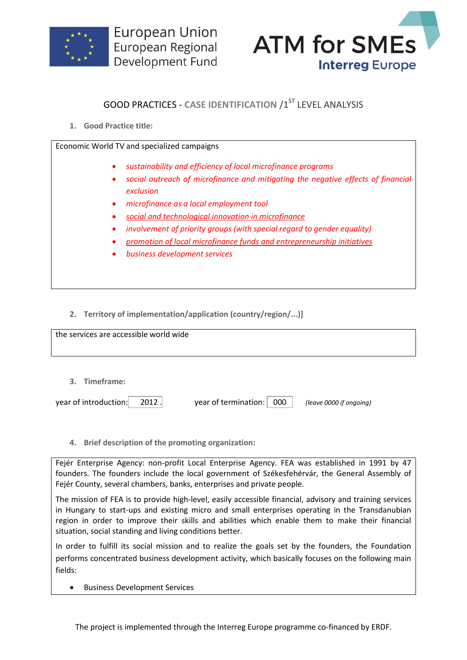



## **GOOD PRACTICES - CASE IDENTIFICATION /1ST LEVEL ANALYSIS**

**1. Good Practice title:**

Economic World TV and specialized campaigns

- *sustainability and efficiency of local microfinance programs*
- *social outreach of microfinance and mitigating the negative effects of financial exclusion*
- *microfinance as a local employment tool*
- *social and technological innovation in microfinance*
- *involvement of priority groups (with special regard to gender equality)*
- *promotion of local microfinance funds and entrepreneurship initiatives*
- *business development services*
- **2. Territory of implementation/application (country/region/...)]**

| the services are accessible world wide |  |
|----------------------------------------|--|
|                                        |  |
|                                        |  |
|                                        |  |
| $- -$<br>$\sim$                        |  |

**3. Timeframe:**

| year of introduction: | 2012. | year of termination: 000 | (leave 0000 if ongoing) |
|-----------------------|-------|--------------------------|-------------------------|
|                       |       |                          |                         |

**4. Brief description of the promoting organization:**

Fejér Enterprise Agency: non-profit Local Enterprise Agency. FEA was established in 1991 by 47 founders. The founders include the local government of Székesfehérvár, the General Assembly of Fejér County, several chambers, banks, enterprises and private people.

The mission of FEA is to provide high-level, easily accessible financial, advisory and training services in Hungary to start-ups and existing micro and small enterprises operating in the Transdanubian region in order to improve their skills and abilities which enable them to make their financial situation, social standing and living conditions better.

In order to fulfill its social mission and to realize the goals set by the founders, the Foundation performs concentrated business development activity, which basically focuses on the following main fields:

**•** Business Development Services

The project is implemented through the Interreg Europe programme co-financed by ERDF.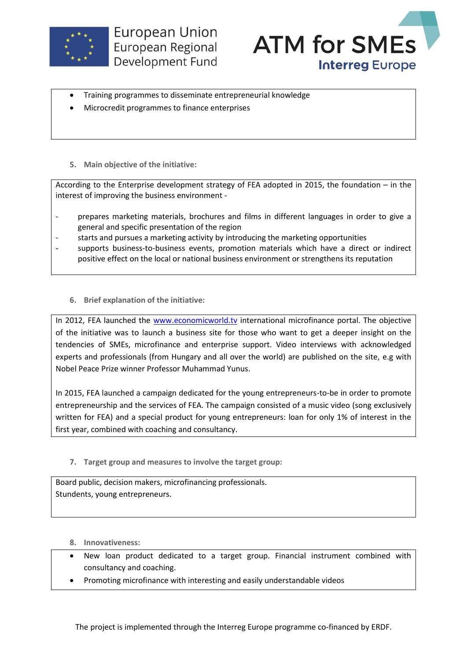



- Training programmes to disseminate entrepreneurial knowledge
- Microcredit programmes to finance enterprises
- **5. Main objective of the initiative:**

According to the Enterprise development strategy of FEA adopted in 2015, the foundation – in the interest of improving the business environment -

- prepares marketing materials, brochures and films in different languages in order to give a general and specific presentation of the region
- starts and pursues a marketing activity by introducing the marketing opportunities
- supports business-to-business events, promotion materials which have a direct or indirect positive effect on the local or national business environment or strengthens its reputation
	- **6. Brief explanation of the initiative:**

In 2012, FEA launched the [www.economicworld.tv](http://www.economicworld.tv/) international microfinance portal. The objective of the initiative was to launch a business site for those who want to get a deeper insight on the tendencies of SMEs, microfinance and enterprise support. Video interviews with acknowledged experts and professionals (from Hungary and all over the world) are published on the site, e.g with Nobel Peace Prize winner Professor Muhammad Yunus.

In 2015, FEA launched a campaign dedicated for the young entrepreneurs-to-be in order to promote entrepreneurship and the services of FEA. The campaign consisted of a music video (song exclusively written for FEA) and a special product for young entrepreneurs: loan for only 1% of interest in the first year, combined with coaching and consultancy.

**7. Target group and measures to involve the target group:**

Board public, decision makers, microfinancing professionals. Stundents, young entrepreneurs.

- **8. Innovativeness:**
- New loan product dedicated to a target group. Financial instrument combined with consultancy and coaching.
- Promoting microfinance with interesting and easily understandable videos